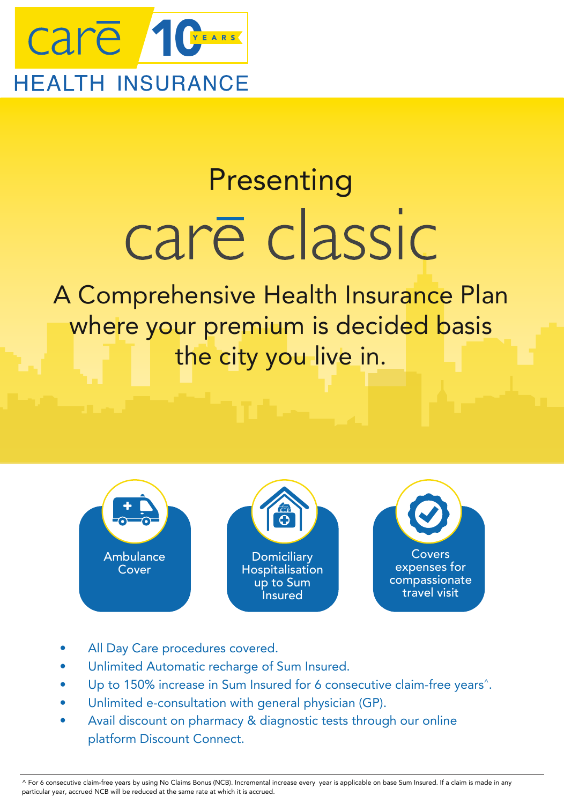

# Presenting care classic

A Comprehensive Health Insurance Plan where your premium is decided basis the city you live in.







- All Day Care procedures covered.
- Unlimited Automatic recharge of Sum Insured.
- Up to 150% increase in Sum Insured for 6 consecutive claim-free years<sup>^</sup>.
- Unlimited e-consultation with general physician (GP).
- Avail discount on pharmacy & diagnostic tests through our online platform Discount Connect.

 ^ For 6 consecutive claim-free years by using No Claims Bonus (NCB). Incremental increase every year is applicable on base Sum Insured. If a claim is made in any particular year, accrued NCB will be reduced at the same rate at which it is accrued.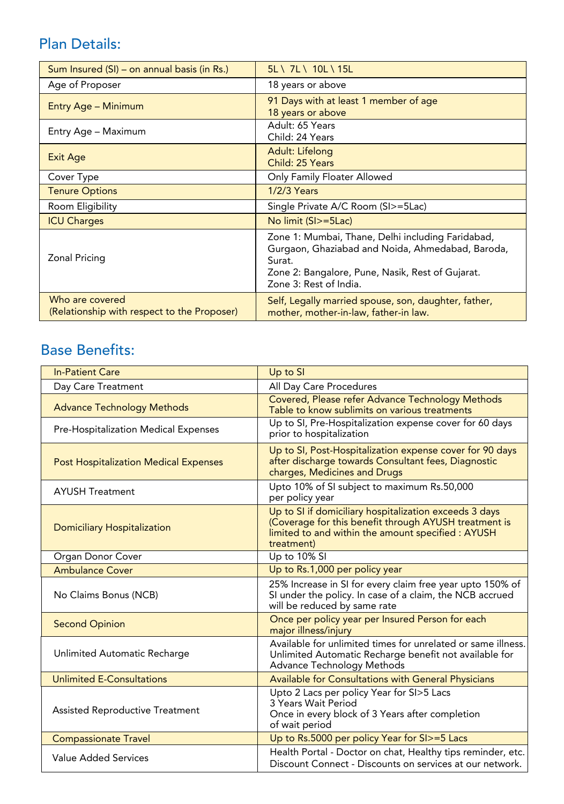## Plan Details:

| Sum Insured (SI) – on annual basis (in Rs.)                    | 5L \ 7L \ 10L \ 15L                                                                                                                                                                           |
|----------------------------------------------------------------|-----------------------------------------------------------------------------------------------------------------------------------------------------------------------------------------------|
| Age of Proposer                                                | 18 years or above                                                                                                                                                                             |
| Entry Age - Minimum                                            | 91 Days with at least 1 member of age<br>18 years or above                                                                                                                                    |
| Entry Age - Maximum                                            | Adult: 65 Years<br>Child: 24 Years                                                                                                                                                            |
| <b>Exit Age</b>                                                | Adult: Lifelong<br>Child: 25 Years                                                                                                                                                            |
| Cover Type                                                     | Only Family Floater Allowed                                                                                                                                                                   |
| <b>Tenure Options</b>                                          | <b>1/2/3 Years</b>                                                                                                                                                                            |
| Room Eligibility                                               | Single Private A/C Room (SI>=5Lac)                                                                                                                                                            |
| <b>ICU Charges</b>                                             | No limit (SI>=5Lac)                                                                                                                                                                           |
| Zonal Pricing                                                  | Zone 1: Mumbai, Thane, Delhi including Faridabad,<br>Gurgaon, Ghaziabad and Noida, Ahmedabad, Baroda,<br>Surat.<br>Zone 2: Bangalore, Pune, Nasik, Rest of Gujarat.<br>Zone 3: Rest of India. |
| Who are covered<br>(Relationship with respect to the Proposer) | Self, Legally married spouse, son, daughter, father,<br>mother, mother-in-law, father-in law.                                                                                                 |

## Base Benefits:

| <b>In-Patient Care</b>                       | Up to SI                                                                                                                                                                            |
|----------------------------------------------|-------------------------------------------------------------------------------------------------------------------------------------------------------------------------------------|
| Day Care Treatment                           | All Day Care Procedures                                                                                                                                                             |
| <b>Advance Technology Methods</b>            | Covered, Please refer Advance Technology Methods<br>Table to know sublimits on various treatments                                                                                   |
| Pre-Hospitalization Medical Expenses         | Up to SI, Pre-Hospitalization expense cover for 60 days<br>prior to hospitalization                                                                                                 |
| <b>Post Hospitalization Medical Expenses</b> | Up to SI, Post-Hospitalization expense cover for 90 days<br>after discharge towards Consultant fees, Diagnostic<br>charges, Medicines and Drugs                                     |
| <b>AYUSH Treatment</b>                       | Upto 10% of SI subject to maximum Rs.50,000<br>per policy year                                                                                                                      |
| <b>Domiciliary Hospitalization</b>           | Up to SI if domiciliary hospitalization exceeds 3 days<br>(Coverage for this benefit through AYUSH treatment is<br>limited to and within the amount specified : AYUSH<br>treatment) |
| Organ Donor Cover                            | Up to 10% SI                                                                                                                                                                        |
| <b>Ambulance Cover</b>                       | Up to Rs.1,000 per policy year                                                                                                                                                      |
| No Claims Bonus (NCB)                        | 25% Increase in SI for every claim free year upto 150% of<br>SI under the policy. In case of a claim, the NCB accrued<br>will be reduced by same rate                               |
| <b>Second Opinion</b>                        | Once per policy year per Insured Person for each<br>major illness/injury                                                                                                            |
| Unlimited Automatic Recharge                 | Available for unlimited times for unrelated or same illness.<br>Unlimited Automatic Recharge benefit not available for<br><b>Advance Technology Methods</b>                         |
| <b>Unlimited E-Consultations</b>             | <b>Available for Consultations with General Physicians</b>                                                                                                                          |
| <b>Assisted Reproductive Treatment</b>       | Upto 2 Lacs per policy Year for SI>5 Lacs<br>3 Years Wait Period<br>Once in every block of 3 Years after completion<br>of wait period                                               |
| <b>Compassionate Travel</b>                  | Up to Rs.5000 per policy Year for SI>=5 Lacs                                                                                                                                        |
| Value Added Services                         | Health Portal - Doctor on chat, Healthy tips reminder, etc.<br>Discount Connect - Discounts on services at our network.                                                             |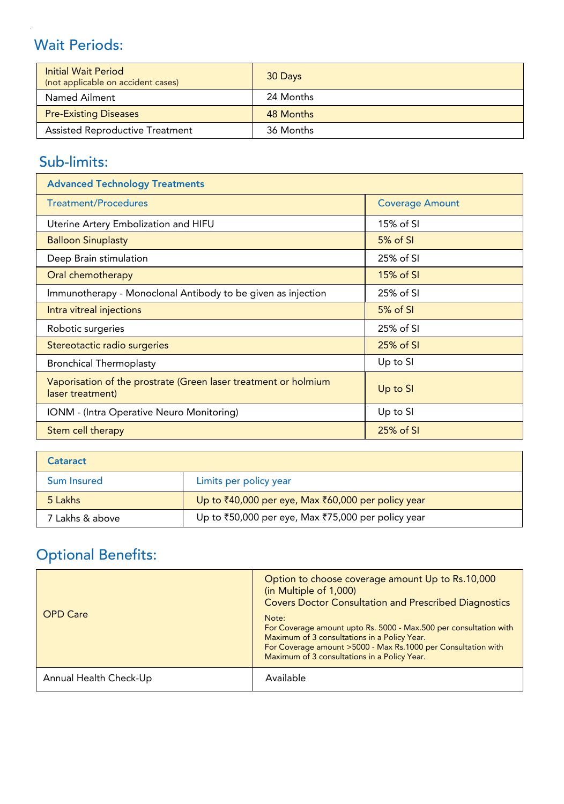# Wait Periods:

| <b>Initial Wait Period</b><br>(not applicable on accident cases) | 30 Days   |
|------------------------------------------------------------------|-----------|
| Named Ailment                                                    | 24 Months |
| <b>Pre-Existing Diseases</b>                                     | 48 Months |
| <b>Assisted Reproductive Treatment</b>                           | 36 Months |

## Sub-limits:

| <b>Advanced Technology Treatments</b>                                               |                        |  |
|-------------------------------------------------------------------------------------|------------------------|--|
| <b>Treatment/Procedures</b>                                                         | <b>Coverage Amount</b> |  |
| Uterine Artery Embolization and HIFU                                                | 15% of SI              |  |
| <b>Balloon Sinuplasty</b>                                                           | 5% of SI               |  |
| Deep Brain stimulation                                                              | 25% of SI              |  |
| Oral chemotherapy                                                                   | $15%$ of SI            |  |
| Immunotherapy - Monoclonal Antibody to be given as injection                        | 25% of SI              |  |
| Intra vitreal injections                                                            | $5%$ of SI             |  |
| Robotic surgeries                                                                   | 25% of SI              |  |
| Stereotactic radio surgeries                                                        | 25% of SI              |  |
| <b>Bronchical Thermoplasty</b>                                                      | Up to SI               |  |
| Vaporisation of the prostrate (Green laser treatment or holmium<br>laser treatment) | Up to SI               |  |
| IONM - (Intra Operative Neuro Monitoring)                                           | Up to SI               |  |
| Stem cell therapy                                                                   | 25% of SI              |  |

| Cataract        |                                                                    |
|-----------------|--------------------------------------------------------------------|
| Sum Insured     | Limits per policy year                                             |
| 5 Lakhs         | Up to $\bar{x}40,000$ per eye, Max $\bar{x}60,000$ per policy year |
| 7 Lakhs & above | Up to ₹50,000 per eye, Max ₹75,000 per policy year                 |

# Optional Benefits:

| <b>OPD Care</b>        | Option to choose coverage amount Up to Rs.10,000<br>(in Multiple of 1,000)<br><b>Covers Doctor Consultation and Prescribed Diagnostics</b><br>Note:<br>For Coverage amount upto Rs. 5000 - Max.500 per consultation with<br>Maximum of 3 consultations in a Policy Year.<br>For Coverage amount >5000 - Max Rs.1000 per Consultation with<br>Maximum of 3 consultations in a Policy Year. |
|------------------------|-------------------------------------------------------------------------------------------------------------------------------------------------------------------------------------------------------------------------------------------------------------------------------------------------------------------------------------------------------------------------------------------|
| Annual Health Check-Up | Available                                                                                                                                                                                                                                                                                                                                                                                 |